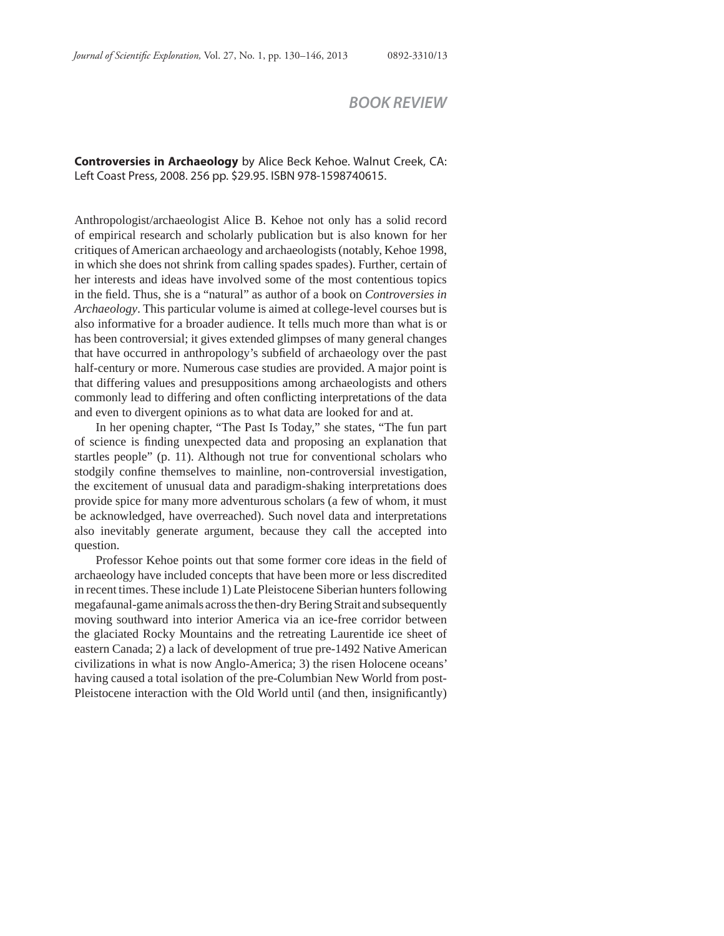## *BOOK REVIEW*

## **Controversies in Archaeology** by Alice Beck Kehoe. Walnut Creek, CA: Left Coast Press, 2008. 256 pp. \$29.95. ISBN 978-1598740615.

Anthropologist/archaeologist Alice B. Kehoe not only has a solid record of empirical research and scholarly publication but is also known for her critiques of American archaeology and archaeologists (notably, Kehoe 1998, in which she does not shrink from calling spades spades). Further, certain of her interests and ideas have involved some of the most contentious topics in the field. Thus, she is a "natural" as author of a book on *Controversies in Archaeology*. This particular volume is aimed at college-level courses but is also informative for a broader audience. It tells much more than what is or has been controversial; it gives extended glimpses of many general changes that have occurred in anthropology's subfield of archaeology over the past half-century or more. Numerous case studies are provided. A major point is that differing values and presuppositions among archaeologists and others commonly lead to differing and often conflicting interpretations of the data and even to divergent opinions as to what data are looked for and at.

In her opening chapter, "The Past Is Today," she states, "The fun part of science is finding unexpected data and proposing an explanation that startles people" (p. 11). Although not true for conventional scholars who stodgily confine themselves to mainline, non-controversial investigation, the excitement of unusual data and paradigm-shaking interpretations does provide spice for many more adventurous scholars (a few of whom, it must be acknowledged, have overreached). Such novel data and interpretations also inevitably generate argument, because they call the accepted into question.

Professor Kehoe points out that some former core ideas in the field of archaeology have included concepts that have been more or less discredited in recent times. These include 1) Late Pleistocene Siberian hunters following megafaunal-game animals across the then-dry Bering Strait and subsequently moving southward into interior America via an ice-free corridor between the glaciated Rocky Mountains and the retreating Laurentide ice sheet of eastern Canada; 2) a lack of development of true pre-1492 Native American civilizations in what is now Anglo-America; 3) the risen Holocene oceans' having caused a total isolation of the pre-Columbian New World from post-Pleistocene interaction with the Old World until (and then, insignificantly)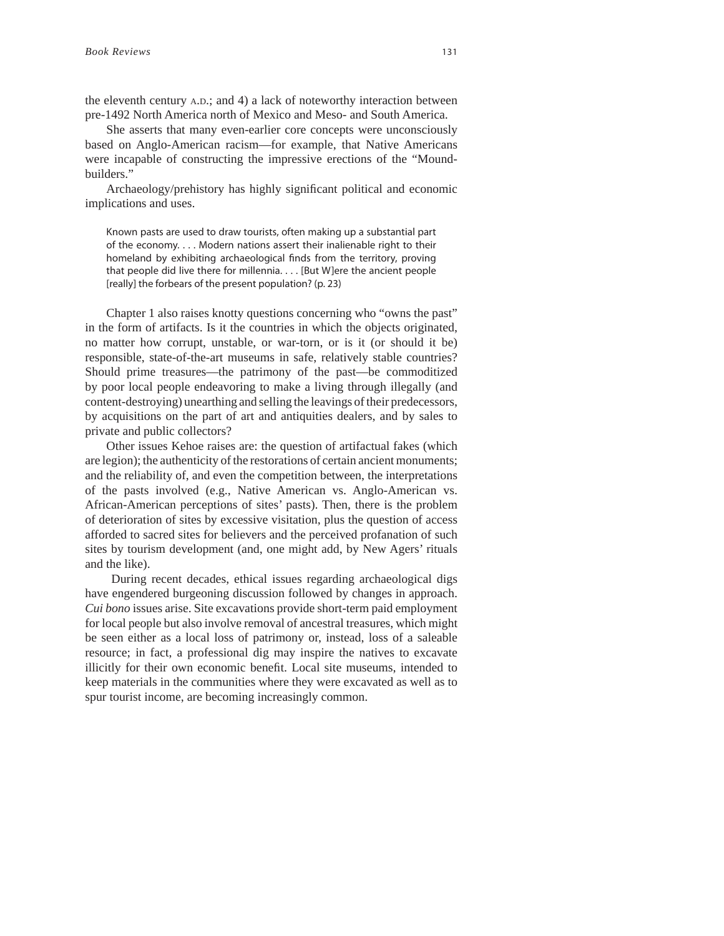the eleventh century A.D.; and 4) a lack of noteworthy interaction between pre-1492 North America north of Mexico and Meso- and South America.

She asserts that many even-earlier core concepts were unconsciously based on Anglo-American racism—for example, that Native Americans were incapable of constructing the impressive erections of the "Moundbuilders."

Archaeology/prehistory has highly significant political and economic implications and uses.

Known pasts are used to draw tourists, often making up a substantial part of the economy. . . . Modern nations assert their inalienable right to their homeland by exhibiting archaeological finds from the territory, proving that people did live there for millennia. . . . [But W]ere the ancient people [really] the forbears of the present population? (p. 23)

Chapter 1 also raises knotty questions concerning who "owns the past" in the form of artifacts. Is it the countries in which the objects originated, no matter how corrupt, unstable, or war-torn, or is it (or should it be) responsible, state-of-the-art museums in safe, relatively stable countries? Should prime treasures—the patrimony of the past—be commoditized by poor local people endeavoring to make a living through illegally (and content-destroying) unearthing and selling the leavings of their predecessors, by acquisitions on the part of art and antiquities dealers, and by sales to private and public collectors?

Other issues Kehoe raises are: the question of artifactual fakes (which are legion); the authenticity of the restorations of certain ancient monuments; and the reliability of, and even the competition between, the interpretations of the pasts involved (e.g., Native American vs. Anglo-American vs. African-American perceptions of sites' pasts). Then, there is the problem of deterioration of sites by excessive visitation, plus the question of access afforded to sacred sites for believers and the perceived profanation of such sites by tourism development (and, one might add, by New Agers' rituals and the like).

 During recent decades, ethical issues regarding archaeological digs have engendered burgeoning discussion followed by changes in approach. *Cui bono* issues arise. Site excavations provide short-term paid employment for local people but also involve removal of ancestral treasures, which might be seen either as a local loss of patrimony or, instead, loss of a saleable resource; in fact, a professional dig may inspire the natives to excavate illicitly for their own economic benefit. Local site museums, intended to keep materials in the communities where they were excavated as well as to spur tourist income, are becoming increasingly common.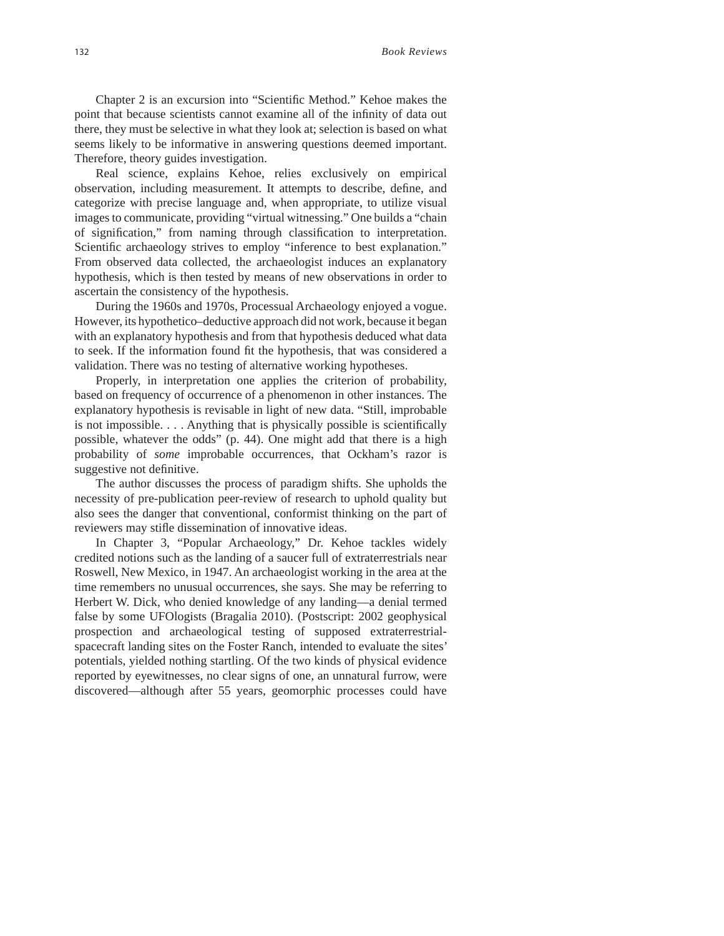Chapter 2 is an excursion into "Scientific Method." Kehoe makes the point that because scientists cannot examine all of the infinity of data out there, they must be selective in what they look at; selection is based on what seems likely to be informative in answering questions deemed important. Therefore, theory guides investigation.

Real science, explains Kehoe, relies exclusively on empirical observation, including measurement. It attempts to describe, define, and categorize with precise language and, when appropriate, to utilize visual images to communicate, providing "virtual witnessing." One builds a "chain of signification," from naming through classification to interpretation. Scientific archaeology strives to employ "inference to best explanation." From observed data collected, the archaeologist induces an explanatory hypothesis, which is then tested by means of new observations in order to ascertain the consistency of the hypothesis.

During the 1960s and 1970s, Processual Archaeology enjoyed a vogue. However, its hypothetico–deductive approach did not work, because it began with an explanatory hypothesis and from that hypothesis deduced what data to seek. If the information found fit the hypothesis, that was considered a validation. There was no testing of alternative working hypotheses.

Properly, in interpretation one applies the criterion of probability, based on frequency of occurrence of a phenomenon in other instances. The explanatory hypothesis is revisable in light of new data. "Still, improbable is not impossible.  $\ldots$  Anything that is physically possible is scientifically possible, whatever the odds" (p. 44). One might add that there is a high probability of *some* improbable occurrences, that Ockham's razor is suggestive not definitive.

The author discusses the process of paradigm shifts. She upholds the necessity of pre-publication peer-review of research to uphold quality but also sees the danger that conventional, conformist thinking on the part of reviewers may stifle dissemination of innovative ideas.

In Chapter 3, "Popular Archaeology," Dr. Kehoe tackles widely credited notions such as the landing of a saucer full of extraterrestrials near Roswell, New Mexico, in 1947. An archaeologist working in the area at the time remembers no unusual occurrences, she says. She may be referring to Herbert W. Dick, who denied knowledge of any landing—a denial termed false by some UFOlogists (Bragalia 2010). (Postscript: 2002 geophysical prospection and archaeological testing of supposed extraterrestrialspacecraft landing sites on the Foster Ranch, intended to evaluate the sites' potentials, yielded nothing startling. Of the two kinds of physical evidence reported by eyewitnesses, no clear signs of one, an unnatural furrow, were discovered—although after 55 years, geomorphic processes could have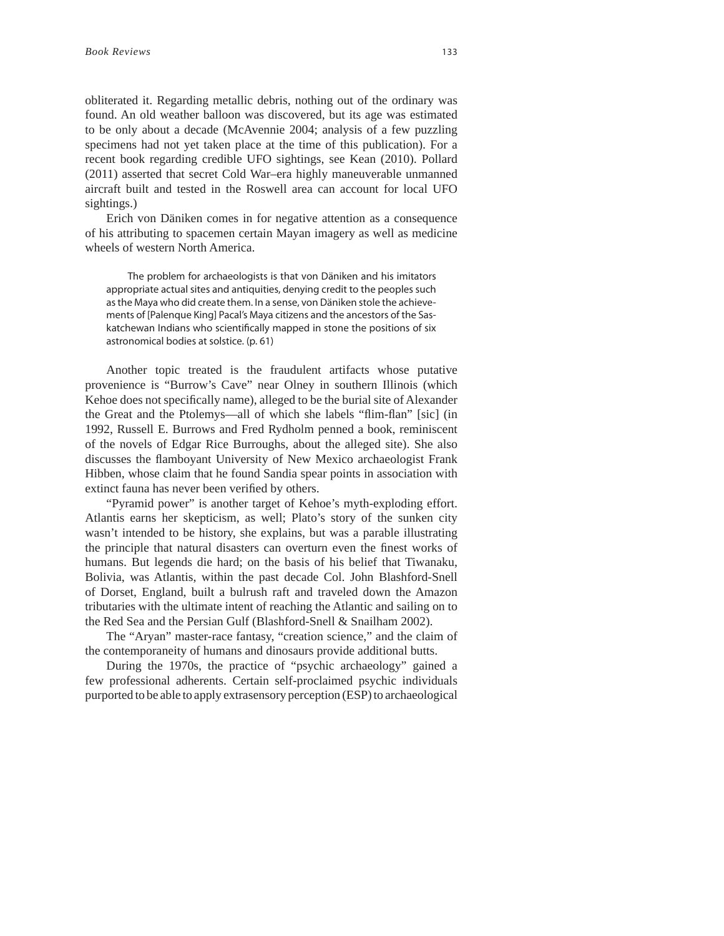obliterated it. Regarding metallic debris, nothing out of the ordinary was found. An old weather balloon was discovered, but its age was estimated to be only about a decade (McAvennie 2004; analysis of a few puzzling specimens had not yet taken place at the time of this publication). For a recent book regarding credible UFO sightings, see Kean (2010). Pollard (2011) asserted that secret Cold War–era highly maneuverable unmanned aircraft built and tested in the Roswell area can account for local UFO sightings.)

Erich von Däniken comes in for negative attention as a consequence of his attributing to spacemen certain Mayan imagery as well as medicine wheels of western North America.

The problem for archaeologists is that von Däniken and his imitators appropriate actual sites and antiquities, denying credit to the peoples such as the Maya who did create them. In a sense, von Däniken stole the achievements of [Palenque King] Pacal's Maya citizens and the ancestors of the Saskatchewan Indians who scientifically mapped in stone the positions of six astronomical bodies at solstice. (p. 61)

Another topic treated is the fraudulent artifacts whose putative provenience is "Burrow's Cave" near Olney in southern Illinois (which Kehoe does not specifically name), alleged to be the burial site of Alexander the Great and the Ptolemys—all of which she labels "flim-flan" [sic] (in 1992, Russell E. Burrows and Fred Rydholm penned a book, reminiscent of the novels of Edgar Rice Burroughs, about the alleged site). She also discusses the flamboyant University of New Mexico archaeologist Frank Hibben, whose claim that he found Sandia spear points in association with extinct fauna has never been verified by others.

"Pyramid power" is another target of Kehoe's myth-exploding effort. Atlantis earns her skepticism, as well; Plato's story of the sunken city wasn't intended to be history, she explains, but was a parable illustrating the principle that natural disasters can overturn even the finest works of humans. But legends die hard; on the basis of his belief that Tiwanaku, Bolivia, was Atlantis, within the past decade Col. John Blashford-Snell of Dorset, England, built a bulrush raft and traveled down the Amazon tributaries with the ultimate intent of reaching the Atlantic and sailing on to the Red Sea and the Persian Gulf (Blashford-Snell & Snailham 2002).

The "Aryan" master-race fantasy, "creation science," and the claim of the contemporaneity of humans and dinosaurs provide additional butts.

During the 1970s, the practice of "psychic archaeology" gained a few professional adherents. Certain self-proclaimed psychic individuals purported to be able to apply extrasensory perception (ESP) to archaeological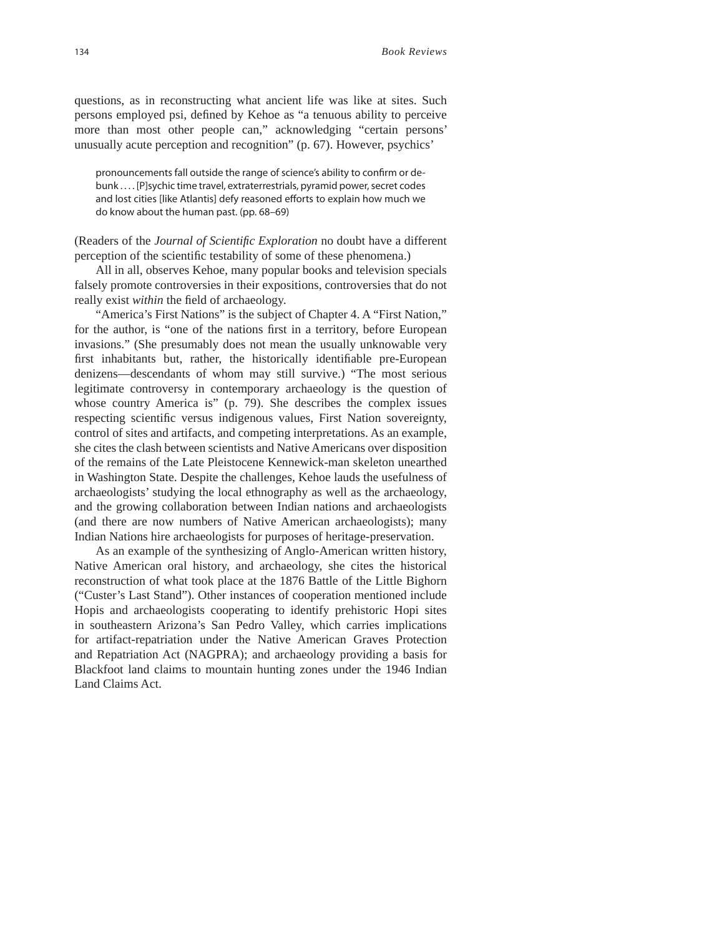questions, as in reconstructing what ancient life was like at sites. Such persons employed psi, defined by Kehoe as "a tenuous ability to perceive more than most other people can," acknowledging "certain persons' unusually acute perception and recognition" (p. 67). However, psychics'

pronouncements fall outside the range of science's ability to confirm or debunk . . . . [P]sychic time travel, extraterrestrials, pyramid power, secret codes and lost cities [like Atlantis] defy reasoned efforts to explain how much we do know about the human past. (pp. 68–69)

(Readers of the *Journal of Scientifi c Exploration* no doubt have a different perception of the scientific testability of some of these phenomena.)

All in all, observes Kehoe, many popular books and television specials falsely promote controversies in their expositions, controversies that do not really exist *within* the field of archaeology.

"America's First Nations" is the subject of Chapter 4. A "First Nation," for the author, is "one of the nations first in a territory, before European invasions." (She presumably does not mean the usually unknowable very first inhabitants but, rather, the historically identifiable pre-European denizens—descendants of whom may still survive.) "The most serious legitimate controversy in contemporary archaeology is the question of whose country America is" (p. 79). She describes the complex issues respecting scientific versus indigenous values, First Nation sovereignty, control of sites and artifacts, and competing interpretations. As an example, she cites the clash between scientists and Native Americans over disposition of the remains of the Late Pleistocene Kennewick-man skeleton unearthed in Washington State. Despite the challenges, Kehoe lauds the usefulness of archaeologists' studying the local ethnography as well as the archaeology, and the growing collaboration between Indian nations and archaeologists (and there are now numbers of Native American archaeologists); many Indian Nations hire archaeologists for purposes of heritage-preservation.

As an example of the synthesizing of Anglo-American written history, Native American oral history, and archaeology, she cites the historical reconstruction of what took place at the 1876 Battle of the Little Bighorn ("Custer's Last Stand"). Other instances of cooperation mentioned include Hopis and archaeologists cooperating to identify prehistoric Hopi sites in southeastern Arizona's San Pedro Valley, which carries implications for artifact-repatriation under the Native American Graves Protection and Repatriation Act (NAGPRA); and archaeology providing a basis for Blackfoot land claims to mountain hunting zones under the 1946 Indian Land Claims Act.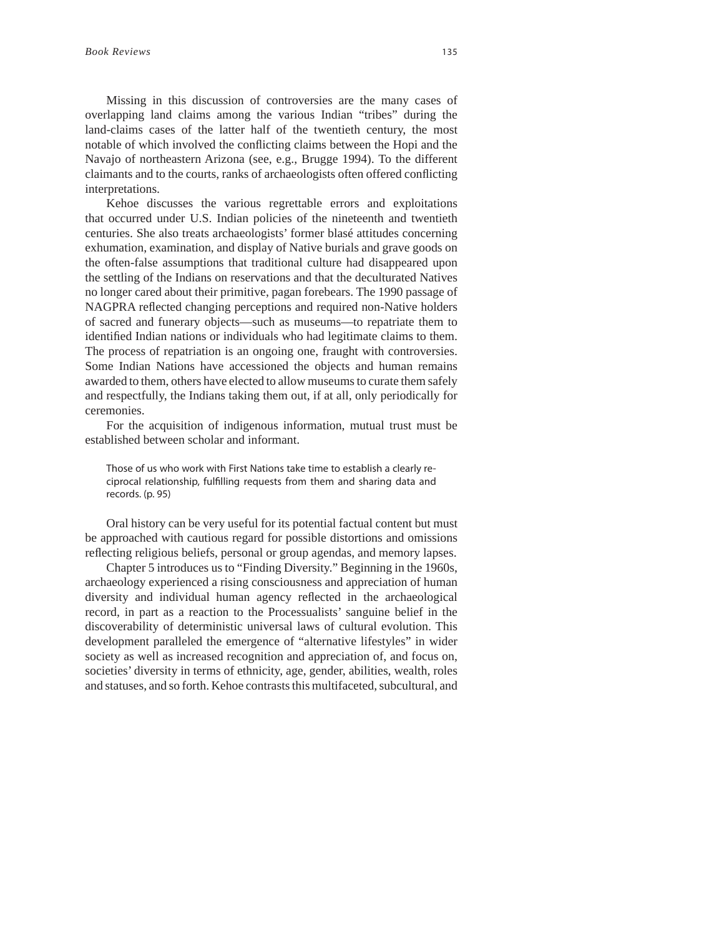Missing in this discussion of controversies are the many cases of overlapping land claims among the various Indian "tribes" during the land-claims cases of the latter half of the twentieth century, the most notable of which involved the conflicting claims between the Hopi and the Navajo of northeastern Arizona (see, e.g., Brugge 1994). To the different claimants and to the courts, ranks of archaeologists often offered conflicting interpretations.

Kehoe discusses the various regrettable errors and exploitations that occurred under U.S. Indian policies of the nineteenth and twentieth centuries. She also treats archaeologists' former blasé attitudes concerning exhumation, examination, and display of Native burials and grave goods on the often-false assumptions that traditional culture had disappeared upon the settling of the Indians on reservations and that the deculturated Natives no longer cared about their primitive, pagan forebears. The 1990 passage of NAGPRA reflected changing perceptions and required non-Native holders of sacred and funerary objects—such as museums—to repatriate them to identified Indian nations or individuals who had legitimate claims to them. The process of repatriation is an ongoing one, fraught with controversies. Some Indian Nations have accessioned the objects and human remains awarded to them, others have elected to allow museums to curate them safely and respectfully, the Indians taking them out, if at all, only periodically for ceremonies.

For the acquisition of indigenous information, mutual trust must be established between scholar and informant.

Those of us who work with First Nations take time to establish a clearly reciprocal relationship, fulfilling requests from them and sharing data and records. (p. 95)

Oral history can be very useful for its potential factual content but must be approached with cautious regard for possible distortions and omissions reflecting religious beliefs, personal or group agendas, and memory lapses.

Chapter 5 introduces us to "Finding Diversity." Beginning in the 1960s, archaeology experienced a rising consciousness and appreciation of human diversity and individual human agency reflected in the archaeological record, in part as a reaction to the Processualists' sanguine belief in the discoverability of deterministic universal laws of cultural evolution. This development paralleled the emergence of "alternative lifestyles" in wider society as well as increased recognition and appreciation of, and focus on, societies' diversity in terms of ethnicity, age, gender, abilities, wealth, roles and statuses, and so forth. Kehoe contrasts this multifaceted, subcultural, and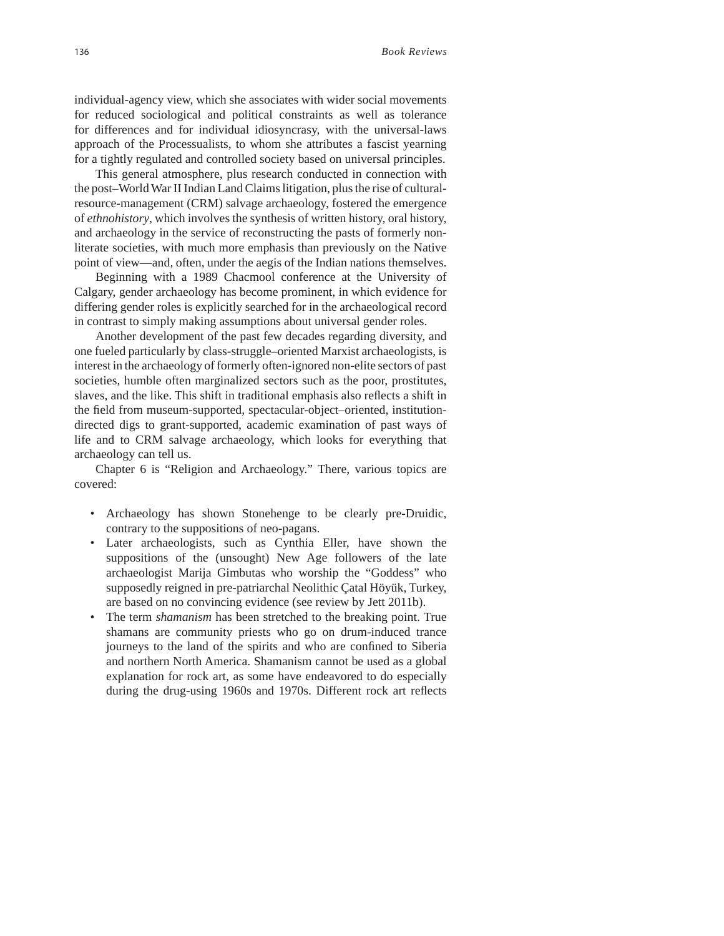individual-agency view, which she associates with wider social movements for reduced sociological and political constraints as well as tolerance for differences and for individual idiosyncrasy, with the universal-laws approach of the Processualists, to whom she attributes a fascist yearning for a tightly regulated and controlled society based on universal principles.

This general atmosphere, plus research conducted in connection with the post–World War II Indian Land Claims litigation, plus the rise of culturalresource-management (CRM) salvage archaeology, fostered the emergence of *ethnohistory*, which involves the synthesis of written history, oral history, and archaeology in the service of reconstructing the pasts of formerly nonliterate societies, with much more emphasis than previously on the Native point of view—and, often, under the aegis of the Indian nations themselves.

Beginning with a 1989 Chacmool conference at the University of Calgary, gender archaeology has become prominent, in which evidence for differing gender roles is explicitly searched for in the archaeological record in contrast to simply making assumptions about universal gender roles.

Another development of the past few decades regarding diversity, and one fueled particularly by class-struggle–oriented Marxist archaeologists, is interest in the archaeology of formerly often-ignored non-elite sectors of past societies, humble often marginalized sectors such as the poor, prostitutes, slaves, and the like. This shift in traditional emphasis also reflects a shift in the field from museum-supported, spectacular-object-oriented, institutiondirected digs to grant-supported, academic examination of past ways of life and to CRM salvage archaeology, which looks for everything that archaeology can tell us.

Chapter 6 is "Religion and Archaeology." There, various topics are covered:

- Archaeology has shown Stonehenge to be clearly pre-Druidic, contrary to the suppositions of neo-pagans.
- Later archaeologists, such as Cynthia Eller, have shown the suppositions of the (unsought) New Age followers of the late archaeologist Marija Gimbutas who worship the "Goddess" who supposedly reigned in pre-patriarchal Neolithic Çatal Höyük, Turkey, are based on no convincing evidence (see review by Jett 2011b).
- The term *shamanism* has been stretched to the breaking point. True shamans are community priests who go on drum-induced trance journeys to the land of the spirits and who are confined to Siberia and northern North America. Shamanism cannot be used as a global explanation for rock art, as some have endeavored to do especially during the drug-using 1960s and 1970s. Different rock art reflects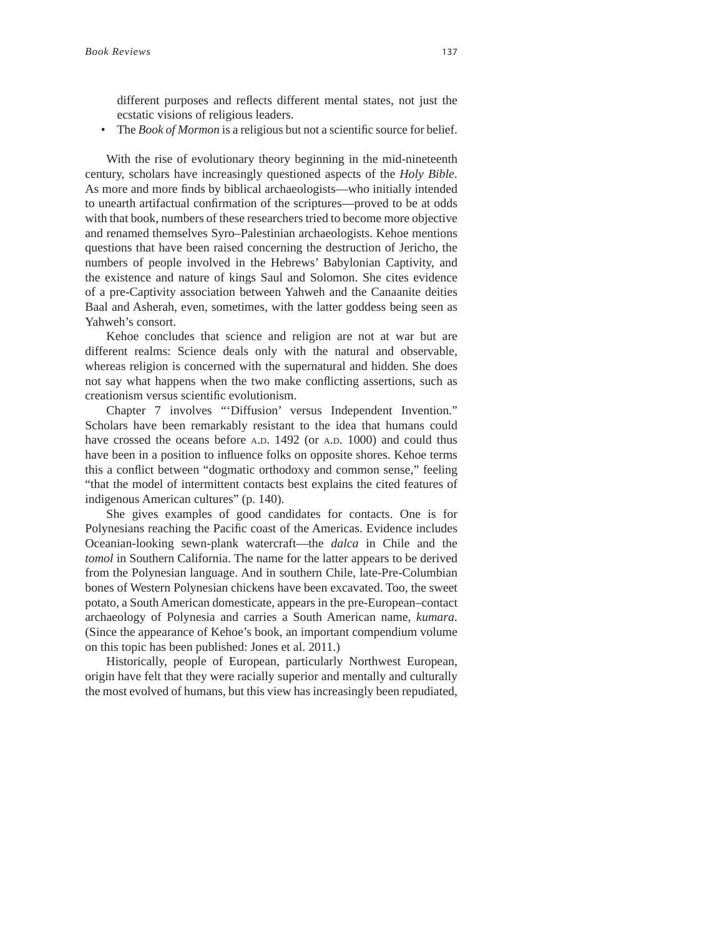different purposes and reflects different mental states, not just the ecstatic visions of religious leaders.

• The *Book of Mormon* is a religious but not a scientific source for belief.

With the rise of evolutionary theory beginning in the mid-nineteenth century, scholars have increasingly questioned aspects of the *Holy Bible*. As more and more finds by biblical archaeologists—who initially intended to unearth artifactual confirmation of the scriptures—proved to be at odds with that book, numbers of these researchers tried to become more objective and renamed themselves Syro–Palestinian archaeologists. Kehoe mentions questions that have been raised concerning the destruction of Jericho, the numbers of people involved in the Hebrews' Babylonian Captivity, and the existence and nature of kings Saul and Solomon. She cites evidence of a pre-Captivity association between Yahweh and the Canaanite deities Baal and Asherah, even, sometimes, with the latter goddess being seen as Yahweh's consort.

Kehoe concludes that science and religion are not at war but are different realms: Science deals only with the natural and observable, whereas religion is concerned with the supernatural and hidden. She does not say what happens when the two make conflicting assertions, such as creationism versus scientific evolutionism.

Chapter 7 involves "'Diffusion' versus Independent Invention." Scholars have been remarkably resistant to the idea that humans could have crossed the oceans before A.D. 1492 (or A.D. 1000) and could thus have been in a position to influence folks on opposite shores. Kehoe terms this a conflict between "dogmatic orthodoxy and common sense," feeling "that the model of intermittent contacts best explains the cited features of indigenous American cultures" (p. 140).

She gives examples of good candidates for contacts. One is for Polynesians reaching the Pacific coast of the Americas. Evidence includes Oceanian-looking sewn-plank watercraft—the *dalca* in Chile and the *tomol* in Southern California. The name for the latter appears to be derived from the Polynesian language. And in southern Chile, late-Pre-Columbian bones of Western Polynesian chickens have been excavated. Too, the sweet potato, a South American domesticate, appears in the pre-European–contact archaeology of Polynesia and carries a South American name, *kumara*. (Since the appearance of Kehoe's book, an important compendium volume on this topic has been published: Jones et al. 2011.)

Historically, people of European, particularly Northwest European, origin have felt that they were racially superior and mentally and culturally the most evolved of humans, but this view has increasingly been repudiated,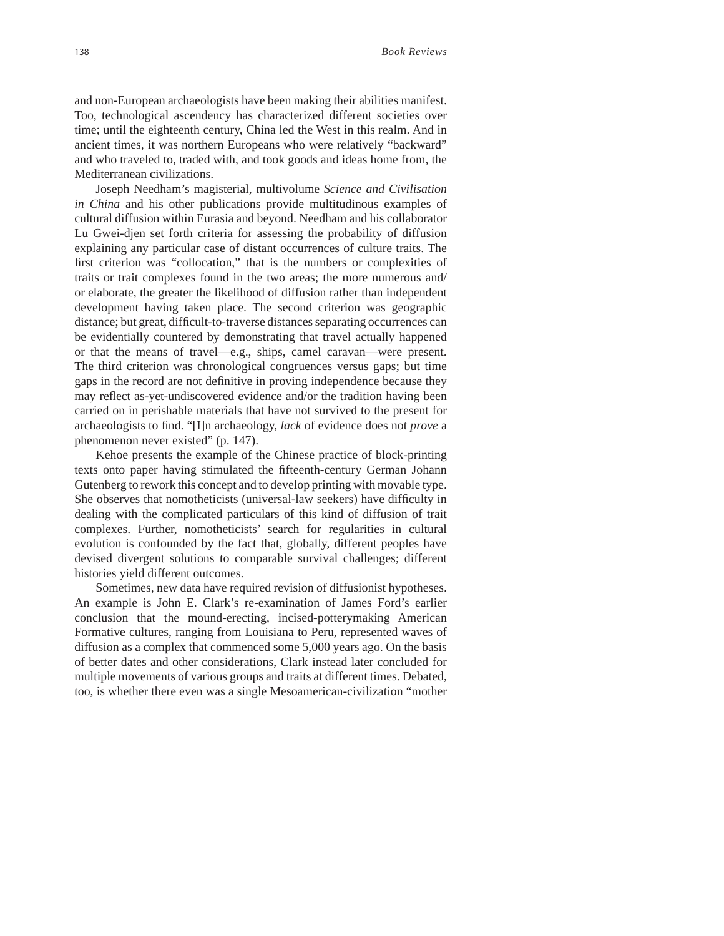and non-European archaeologists have been making their abilities manifest. Too, technological ascendency has characterized different societies over time; until the eighteenth century, China led the West in this realm. And in ancient times, it was northern Europeans who were relatively "backward" and who traveled to, traded with, and took goods and ideas home from, the Mediterranean civilizations.

Joseph Needham's magisterial, multivolume *Science and Civilisation in China* and his other publications provide multitudinous examples of cultural diffusion within Eurasia and beyond. Needham and his collaborator Lu Gwei-djen set forth criteria for assessing the probability of diffusion explaining any particular case of distant occurrences of culture traits. The first criterion was "collocation," that is the numbers or complexities of traits or trait complexes found in the two areas; the more numerous and/ or elaborate, the greater the likelihood of diffusion rather than independent development having taken place. The second criterion was geographic distance; but great, difficult-to-traverse distances separating occurrences can be evidentially countered by demonstrating that travel actually happened or that the means of travel—e.g., ships, camel caravan—were present. The third criterion was chronological congruences versus gaps; but time gaps in the record are not definitive in proving independence because they may reflect as-yet-undiscovered evidence and/or the tradition having been carried on in perishable materials that have not survived to the present for archaeologists to find. "[I]n archaeology, *lack* of evidence does not *prove* a phenomenon never existed" (p. 147).

Kehoe presents the example of the Chinese practice of block-printing texts onto paper having stimulated the fifteenth-century German Johann Gutenberg to rework this concept and to develop printing with movable type. She observes that nomotheticists (universal-law seekers) have difficulty in dealing with the complicated particulars of this kind of diffusion of trait complexes. Further, nomotheticists' search for regularities in cultural evolution is confounded by the fact that, globally, different peoples have devised divergent solutions to comparable survival challenges; different histories yield different outcomes.

Sometimes, new data have required revision of diffusionist hypotheses. An example is John E. Clark's re-examination of James Ford's earlier conclusion that the mound-erecting, incised-potterymaking American Formative cultures, ranging from Louisiana to Peru, represented waves of diffusion as a complex that commenced some 5,000 years ago. On the basis of better dates and other considerations, Clark instead later concluded for multiple movements of various groups and traits at different times. Debated, too, is whether there even was a single Mesoamerican-civilization "mother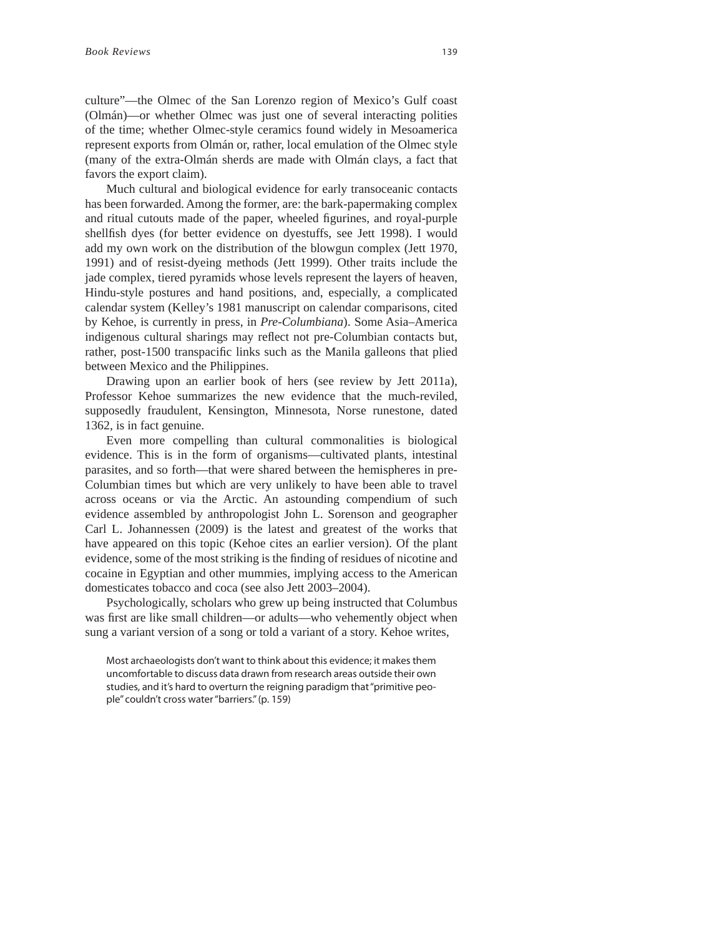culture"—the Olmec of the San Lorenzo region of Mexico's Gulf coast (Olmán)—or whether Olmec was just one of several interacting polities of the time; whether Olmec-style ceramics found widely in Mesoamerica represent exports from Olmán or, rather, local emulation of the Olmec style (many of the extra-Olmán sherds are made with Olmán clays, a fact that favors the export claim).

Much cultural and biological evidence for early transoceanic contacts has been forwarded. Among the former, are: the bark-papermaking complex and ritual cutouts made of the paper, wheeled figurines, and royal-purple shellfish dyes (for better evidence on dyestuffs, see Jett 1998). I would add my own work on the distribution of the blowgun complex (Jett 1970, 1991) and of resist-dyeing methods (Jett 1999). Other traits include the jade complex, tiered pyramids whose levels represent the layers of heaven, Hindu-style postures and hand positions, and, especially, a complicated calendar system (Kelley's 1981 manuscript on calendar comparisons, cited by Kehoe, is currently in press, in *Pre-Columbiana*). Some Asia–America indigenous cultural sharings may reflect not pre-Columbian contacts but, rather, post-1500 transpacific links such as the Manila galleons that plied between Mexico and the Philippines.

Drawing upon an earlier book of hers (see review by Jett 2011a), Professor Kehoe summarizes the new evidence that the much-reviled, supposedly fraudulent, Kensington, Minnesota, Norse runestone, dated 1362, is in fact genuine.

Even more compelling than cultural commonalities is biological evidence. This is in the form of organisms—cultivated plants, intestinal parasites, and so forth—that were shared between the hemispheres in pre-Columbian times but which are very unlikely to have been able to travel across oceans or via the Arctic. An astounding compendium of such evidence assembled by anthropologist John L. Sorenson and geographer Carl L. Johannessen (2009) is the latest and greatest of the works that have appeared on this topic (Kehoe cites an earlier version). Of the plant evidence, some of the most striking is the finding of residues of nicotine and cocaine in Egyptian and other mummies, implying access to the American domesticates tobacco and coca (see also Jett 2003–2004).

Psychologically, scholars who grew up being instructed that Columbus was first are like small children—or adults—who vehemently object when sung a variant version of a song or told a variant of a story. Kehoe writes,

Most archaeologists don't want to think about this evidence; it makes them uncomfortable to discuss data drawn from research areas outside their own studies, and it's hard to overturn the reigning paradigm that "primitive people" couldn't cross water "barriers." (p. 159)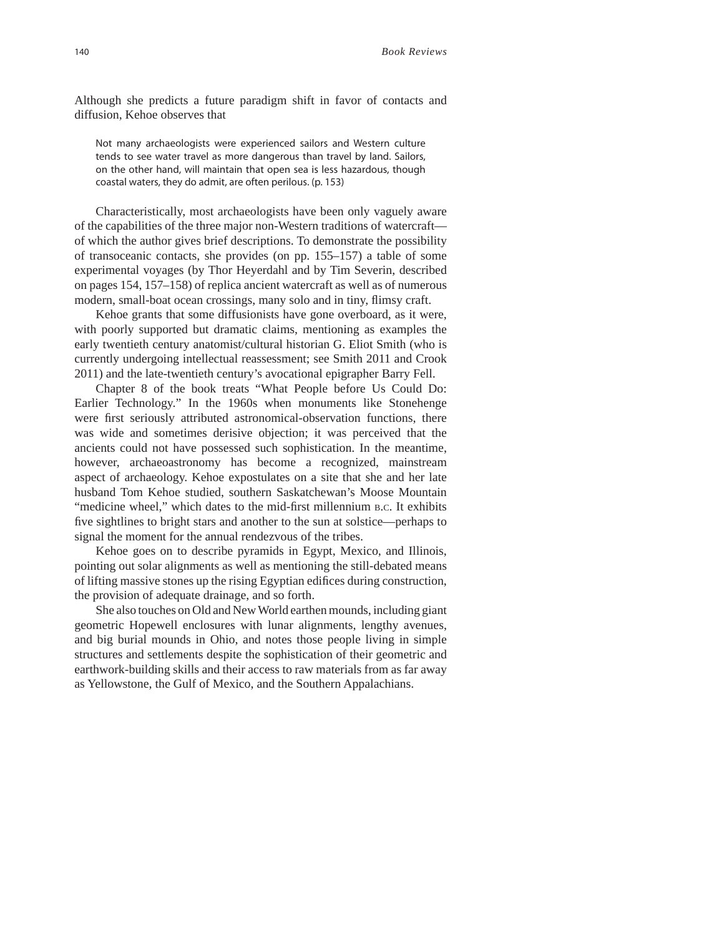Although she predicts a future paradigm shift in favor of contacts and diffusion, Kehoe observes that

Not many archaeologists were experienced sailors and Western culture tends to see water travel as more dangerous than travel by land. Sailors, on the other hand, will maintain that open sea is less hazardous, though coastal waters, they do admit, are often perilous. (p. 153)

Characteristically, most archaeologists have been only vaguely aware of the capabilities of the three major non-Western traditions of watercraft of which the author gives brief descriptions. To demonstrate the possibility of transoceanic contacts, she provides (on pp. 155–157) a table of some experimental voyages (by Thor Heyerdahl and by Tim Severin, described on pages 154, 157–158) of replica ancient watercraft as well as of numerous modern, small-boat ocean crossings, many solo and in tiny, flimsy craft.

Kehoe grants that some diffusionists have gone overboard, as it were, with poorly supported but dramatic claims, mentioning as examples the early twentieth century anatomist/cultural historian G. Eliot Smith (who is currently undergoing intellectual reassessment; see Smith 2011 and Crook 2011) and the late-twentieth century's avocational epigrapher Barry Fell.

Chapter 8 of the book treats "What People before Us Could Do: Earlier Technology." In the 1960s when monuments like Stonehenge were first seriously attributed astronomical-observation functions, there was wide and sometimes derisive objection; it was perceived that the ancients could not have possessed such sophistication. In the meantime, however, archaeoastronomy has become a recognized, mainstream aspect of archaeology. Kehoe expostulates on a site that she and her late husband Tom Kehoe studied, southern Saskatchewan's Moose Mountain "medicine wheel," which dates to the mid-first millennium B.C. It exhibits five sightlines to bright stars and another to the sun at solstice—perhaps to signal the moment for the annual rendezvous of the tribes.

Kehoe goes on to describe pyramids in Egypt, Mexico, and Illinois, pointing out solar alignments as well as mentioning the still-debated means of lifting massive stones up the rising Egyptian edifices during construction, the provision of adequate drainage, and so forth.

She also touches on Old and New World earthen mounds, including giant geometric Hopewell enclosures with lunar alignments, lengthy avenues, and big burial mounds in Ohio, and notes those people living in simple structures and settlements despite the sophistication of their geometric and earthwork-building skills and their access to raw materials from as far away as Yellowstone, the Gulf of Mexico, and the Southern Appalachians.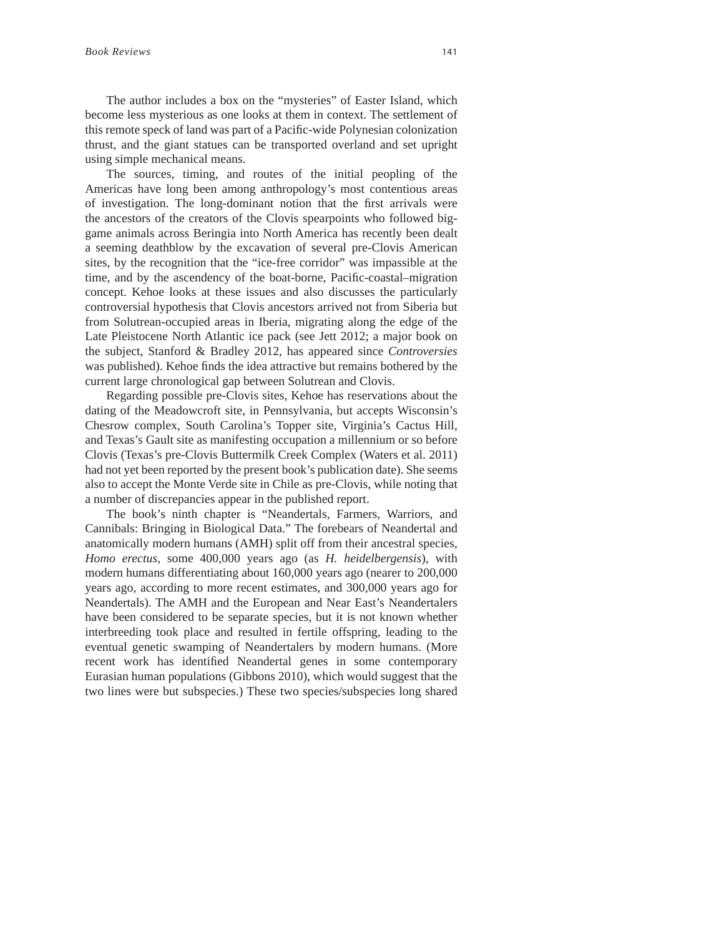The author includes a box on the "mysteries" of Easter Island, which become less mysterious as one looks at them in context. The settlement of this remote speck of land was part of a Pacific-wide Polynesian colonization thrust, and the giant statues can be transported overland and set upright using simple mechanical means.

The sources, timing, and routes of the initial peopling of the Americas have long been among anthropology's most contentious areas of investigation. The long-dominant notion that the first arrivals were the ancestors of the creators of the Clovis spearpoints who followed biggame animals across Beringia into North America has recently been dealt a seeming deathblow by the excavation of several pre-Clovis American sites, by the recognition that the "ice-free corridor" was impassible at the time, and by the ascendency of the boat-borne, Pacific-coastal–migration concept. Kehoe looks at these issues and also discusses the particularly controversial hypothesis that Clovis ancestors arrived not from Siberia but from Solutrean-occupied areas in Iberia, migrating along the edge of the Late Pleistocene North Atlantic ice pack (see Jett 2012; a major book on the subject, Stanford & Bradley 2012, has appeared since *Controversies*  was published). Kehoe finds the idea attractive but remains bothered by the current large chronological gap between Solutrean and Clovis.

Regarding possible pre-Clovis sites, Kehoe has reservations about the dating of the Meadowcroft site, in Pennsylvania, but accepts Wisconsin's Chesrow complex, South Carolina's Topper site, Virginia's Cactus Hill, and Texas's Gault site as manifesting occupation a millennium or so before Clovis (Texas's pre-Clovis Buttermilk Creek Complex (Waters et al. 2011) had not yet been reported by the present book's publication date). She seems also to accept the Monte Verde site in Chile as pre-Clovis, while noting that a number of discrepancies appear in the published report.

The book's ninth chapter is "Neandertals, Farmers, Warriors, and Cannibals: Bringing in Biological Data." The forebears of Neandertal and anatomically modern humans (AMH) split off from their ancestral species, *Homo erectus*, some 400,000 years ago (as *H. heidelbergensis*), with modern humans differentiating about 160,000 years ago (nearer to 200,000 years ago, according to more recent estimates, and 300,000 years ago for Neandertals). The AMH and the European and Near East's Neandertalers have been considered to be separate species, but it is not known whether interbreeding took place and resulted in fertile offspring, leading to the eventual genetic swamping of Neandertalers by modern humans. (More recent work has identified Neandertal genes in some contemporary Eurasian human populations (Gibbons 2010), which would suggest that the two lines were but subspecies.) These two species/subspecies long shared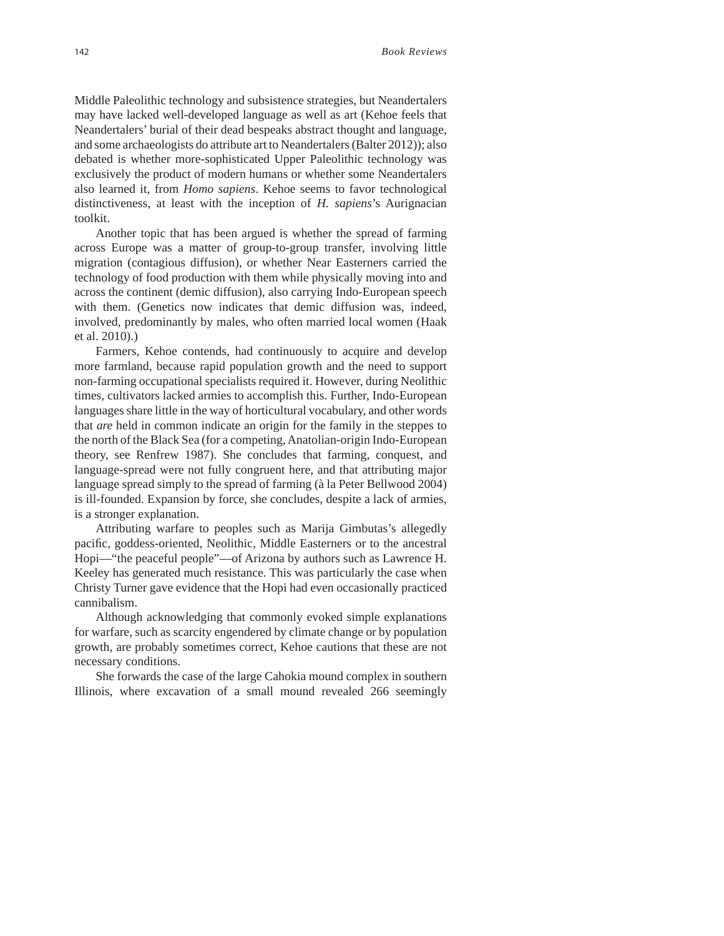Middle Paleolithic technology and subsistence strategies, but Neandertalers may have lacked well-developed language as well as art (Kehoe feels that Neandertalers' burial of their dead bespeaks abstract thought and language, and some archaeologists do attribute art to Neandertalers (Balter 2012)); also debated is whether more-sophisticated Upper Paleolithic technology was exclusively the product of modern humans or whether some Neandertalers also learned it, from *Homo sapiens*. Kehoe seems to favor technological distinctiveness, at least with the inception of *H. sapiens*'s Aurignacian toolkit.

Another topic that has been argued is whether the spread of farming across Europe was a matter of group-to-group transfer, involving little migration (contagious diffusion), or whether Near Easterners carried the technology of food production with them while physically moving into and across the continent (demic diffusion), also carrying Indo-European speech with them. (Genetics now indicates that demic diffusion was, indeed, involved, predominantly by males, who often married local women (Haak et al. 2010).)

Farmers, Kehoe contends, had continuously to acquire and develop more farmland, because rapid population growth and the need to support non-farming occupational specialists required it. However, during Neolithic times, cultivators lacked armies to accomplish this. Further, Indo-European languages share little in the way of horticultural vocabulary, and other words that *are* held in common indicate an origin for the family in the steppes to the north of the Black Sea (for a competing, Anatolian-origin Indo-European theory, see Renfrew 1987). She concludes that farming, conquest, and language-spread were not fully congruent here, and that attributing major language spread simply to the spread of farming (à la Peter Bellwood 2004) is ill-founded. Expansion by force, she concludes, despite a lack of armies, is a stronger explanation.

Attributing warfare to peoples such as Marija Gimbutas's allegedly pacific, goddess-oriented, Neolithic, Middle Easterners or to the ancestral Hopi—"the peaceful people"—of Arizona by authors such as Lawrence H. Keeley has generated much resistance. This was particularly the case when Christy Turner gave evidence that the Hopi had even occasionally practiced cannibalism.

Although acknowledging that commonly evoked simple explanations for warfare, such as scarcity engendered by climate change or by population growth, are probably sometimes correct, Kehoe cautions that these are not necessary conditions.

She forwards the case of the large Cahokia mound complex in southern Illinois, where excavation of a small mound revealed 266 seemingly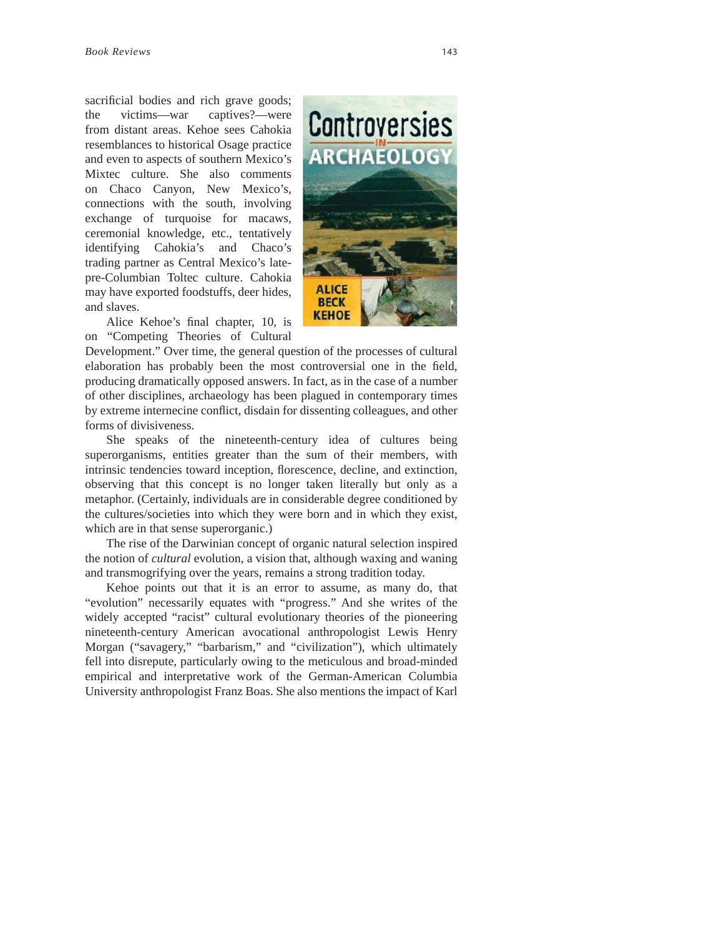sacrificial bodies and rich grave goods; the victims—war captives?—were from distant areas. Kehoe sees Cahokia resemblances to historical Osage practice and even to aspects of southern Mexico's Mixtec culture. She also comments on Chaco Canyon, New Mexico's, connections with the south, involving exchange of turquoise for macaws, ceremonial knowledge, etc., tentatively identifying Cahokia's and Chaco's trading partner as Central Mexico's latepre-Columbian Toltec culture. Cahokia may have exported foodstuffs, deer hides, and slaves.



Alice Kehoe's final chapter, 10, is on "Competing Theories of Cultural

Development." Over time, the general question of the processes of cultural elaboration has probably been the most controversial one in the field, producing dramatically opposed answers. In fact, as in the case of a number of other disciplines, archaeology has been plagued in contemporary times by extreme internecine conflict, disdain for dissenting colleagues, and other forms of divisiveness.

She speaks of the nineteenth-century idea of cultures being superorganisms, entities greater than the sum of their members, with intrinsic tendencies toward inception, florescence, decline, and extinction, observing that this concept is no longer taken literally but only as a metaphor. (Certainly, individuals are in considerable degree conditioned by the cultures/societies into which they were born and in which they exist, which are in that sense superorganic.)

The rise of the Darwinian concept of organic natural selection inspired the notion of *cultural* evolution, a vision that, although waxing and waning and transmogrifying over the years, remains a strong tradition today.

Kehoe points out that it is an error to assume, as many do, that "evolution" necessarily equates with "progress." And she writes of the widely accepted "racist" cultural evolutionary theories of the pioneering nineteenth-century American avocational anthropologist Lewis Henry Morgan ("savagery," "barbarism," and "civilization"), which ultimately fell into disrepute, particularly owing to the meticulous and broad-minded empirical and interpretative work of the German-American Columbia University anthropologist Franz Boas. She also mentions the impact of Karl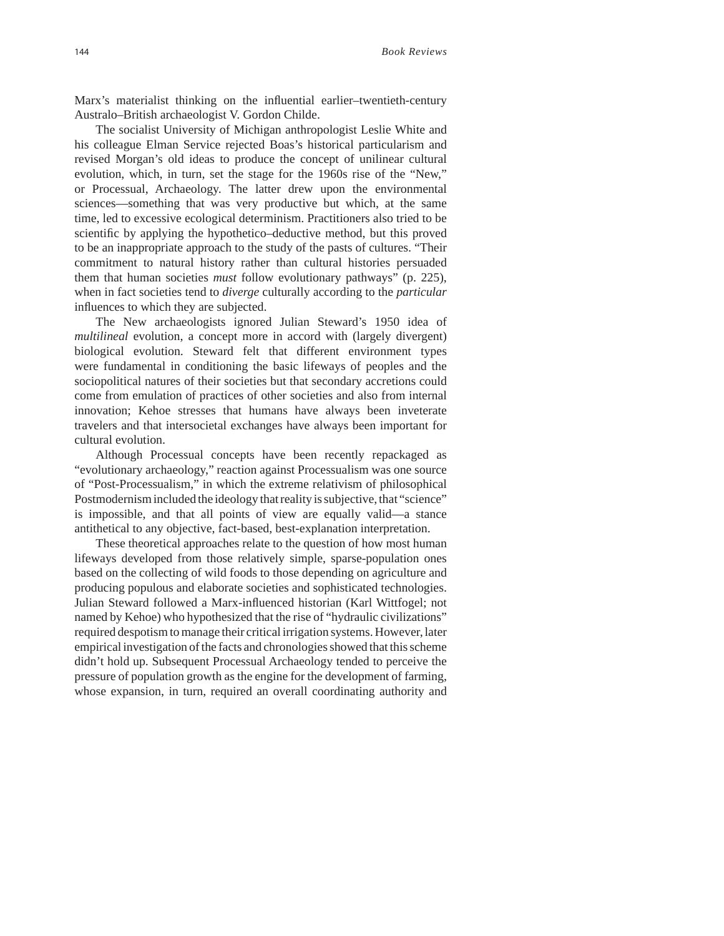Marx's materialist thinking on the influential earlier–twentieth-century Australo–British archaeologist V. Gordon Childe.

The socialist University of Michigan anthropologist Leslie White and his colleague Elman Service rejected Boas's historical particularism and revised Morgan's old ideas to produce the concept of unilinear cultural evolution, which, in turn, set the stage for the 1960s rise of the "New," or Processual, Archaeology. The latter drew upon the environmental sciences—something that was very productive but which, at the same time, led to excessive ecological determinism. Practitioners also tried to be scientific by applying the hypothetico–deductive method, but this proved to be an inappropriate approach to the study of the pasts of cultures. "Their commitment to natural history rather than cultural histories persuaded them that human societies *must* follow evolutionary pathways" (p. 225), when in fact societies tend to *diverge* culturally according to the *particular* influences to which they are subjected.

The New archaeologists ignored Julian Steward's 1950 idea of *multilineal* evolution, a concept more in accord with (largely divergent) biological evolution. Steward felt that different environment types were fundamental in conditioning the basic lifeways of peoples and the sociopolitical natures of their societies but that secondary accretions could come from emulation of practices of other societies and also from internal innovation; Kehoe stresses that humans have always been inveterate travelers and that intersocietal exchanges have always been important for cultural evolution.

Although Processual concepts have been recently repackaged as "evolutionary archaeology," reaction against Processualism was one source of "Post-Processualism," in which the extreme relativism of philosophical Postmodernism included the ideology that reality is subjective, that "science" is impossible, and that all points of view are equally valid—a stance antithetical to any objective, fact-based, best-explanation interpretation.

These theoretical approaches relate to the question of how most human lifeways developed from those relatively simple, sparse-population ones based on the collecting of wild foods to those depending on agriculture and producing populous and elaborate societies and sophisticated technologies. Julian Steward followed a Marx-influenced historian (Karl Wittfogel; not named by Kehoe) who hypothesized that the rise of "hydraulic civilizations" required despotism to manage their critical irrigation systems. However, later empirical investigation of the facts and chronologies showed that this scheme didn't hold up. Subsequent Processual Archaeology tended to perceive the pressure of population growth as the engine for the development of farming, whose expansion, in turn, required an overall coordinating authority and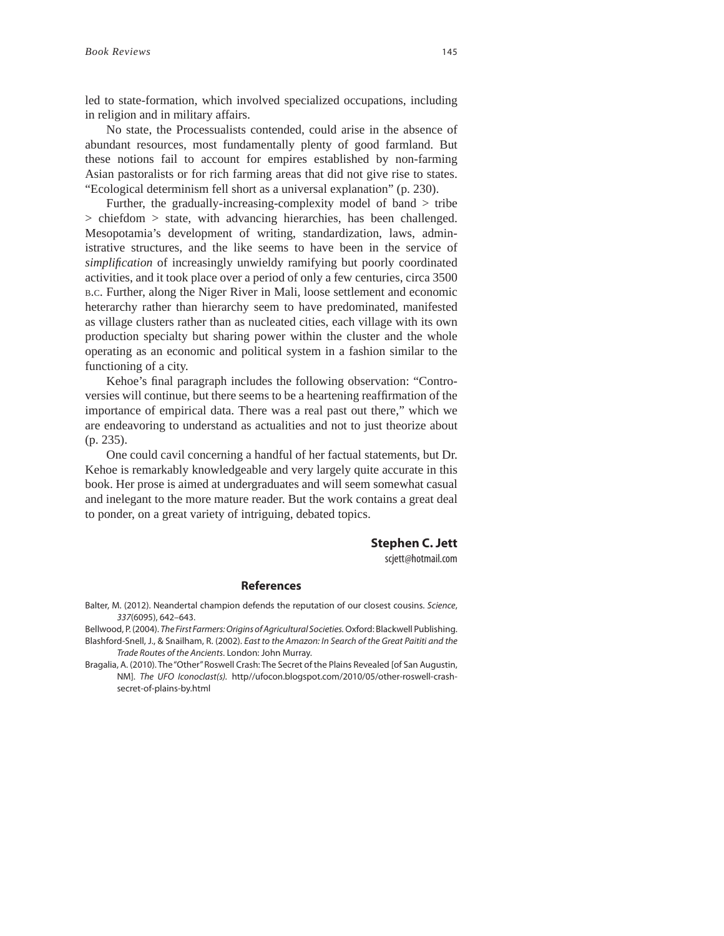led to state-formation, which involved specialized occupations, including in religion and in military affairs.

No state, the Processualists contended, could arise in the absence of abundant resources, most fundamentally plenty of good farmland. But these notions fail to account for empires established by non-farming Asian pastoralists or for rich farming areas that did not give rise to states. "Ecological determinism fell short as a universal explanation" (p. 230).

Further, the gradually-increasing-complexity model of band > tribe > chiefdom > state, with advancing hierarchies, has been challenged. Mesopotamia's development of writing, standardization, laws, administrative structures, and the like seems to have been in the service of *simplification* of increasingly unwieldy ramifying but poorly coordinated activities, and it took place over a period of only a few centuries, circa 3500 B.C. Further, along the Niger River in Mali, loose settlement and economic heterarchy rather than hierarchy seem to have predominated, manifested as village clusters rather than as nucleated cities, each village with its own production specialty but sharing power within the cluster and the whole operating as an economic and political system in a fashion similar to the functioning of a city.

Kehoe's final paragraph includes the following observation: "Controversies will continue, but there seems to be a heartening reaffirmation of the importance of empirical data. There was a real past out there," which we are endeavoring to understand as actualities and not to just theorize about (p. 235).

One could cavil concerning a handful of her factual statements, but Dr. Kehoe is remarkably knowledgeable and very largely quite accurate in this book. Her prose is aimed at undergraduates and will seem somewhat casual and inelegant to the more mature reader. But the work contains a great deal to ponder, on a great variety of intriguing, debated topics.

## **Stephen C. Jett**

scjett@hotmail.com

**References** Balter, M. (2012). Neandertal champion defends the reputation of our closest cousins. Science, 337(6095), 642–643.

Bellwood, P. (2004). The First Farmers: Origins of Agricultural Societies. Oxford: Blackwell Publishing. Blashford-Snell, J., & Snailham, R. (2002). East to the Amazon: In Search of the Great Paititi and the Trade Routes of the Ancients. London: John Murray.

Bragalia, A. (2010). The "Other" Roswell Crash: The Secret of the Plains Revealed [of San Augustin, NM]. The UFO Iconoclast(s). http//ufocon.blogspot.com/2010/05/other-roswell-crashsecret-of-plains-by.html